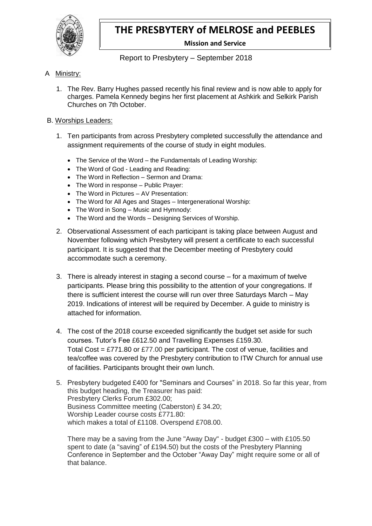

# **THE PRESBYTERY of MELROSE and PEEBLES**

**Mission and Service**

Report to Presbytery – September 2018

## A Ministry:

1. The Rev. Barry Hughes passed recently his final review and is now able to apply for charges. Pamela Kennedy begins her first placement at Ashkirk and Selkirk Parish Churches on 7th October.

#### B. Worships Leaders:

- 1. Ten participants from across Presbytery completed successfully the attendance and assignment requirements of the course of study in eight modules.
	- The Service of the Word the Fundamentals of Leading Worship:
	- The Word of God Leading and Reading:
	- The Word in Reflection Sermon and Drama:
	- The Word in response Public Prayer:
	- The Word in Pictures AV Presentation:
	- The Word for All Ages and Stages Intergenerational Worship:
	- The Word in Song Music and Hymnody:
	- The Word and the Words Designing Services of Worship.
- 2. Observational Assessment of each participant is taking place between August and November following which Presbytery will present a certificate to each successful participant. It is suggested that the December meeting of Presbytery could accommodate such a ceremony.
- 3. There is already interest in staging a second course for a maximum of twelve participants. Please bring this possibility to the attention of your congregations. If there is sufficient interest the course will run over three Saturdays March – May 2019. Indications of interest will be required by December. A guide to ministry is attached for information.
- 4. The cost of the 2018 course exceeded significantly the budget set aside for such courses. Tutor's Fee £612.50 and Travelling Expenses £159.30. Total Cost = £771.80 or £77.00 per participant. The cost of venue, facilities and tea/coffee was covered by the Presbytery contribution to ITW Church for annual use of facilities. Participants brought their own lunch.
- 5. Presbytery budgeted £400 for "Seminars and Courses" in 2018. So far this year, from this budget heading, the Treasurer has paid: Presbytery Clerks Forum £302.00; Business Committee meeting (Caberston) £ 34.20; Worship Leader course costs £771.80: which makes a total of £1108. Overspend £708.00.

There may be a saving from the June "Away Day" - budget £300 – with £105.50 spent to date (a "saving" of £194.50) but the costs of the Presbytery Planning Conference in September and the October "Away Day" might require some or all of that balance.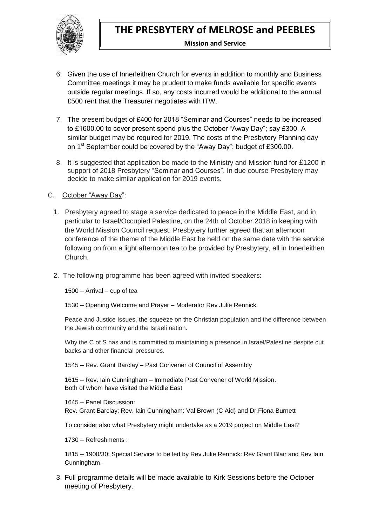

#### **Mission and Service**

- 6. Given the use of Innerleithen Church for events in addition to monthly and Business Committee meetings it may be prudent to make funds available for specific events outside regular meetings. If so, any costs incurred would be additional to the annual £500 rent that the Treasurer negotiates with ITW.
- 7. The present budget of £400 for 2018 "Seminar and Courses" needs to be increased to £1600.00 to cover present spend plus the October "Away Day"; say £300. A similar budget may be required for 2019. The costs of the Presbytery Planning day on 1<sup>st</sup> September could be covered by the "Away Day": budget of £300.00.
- 8. It is suggested that application be made to the Ministry and Mission fund for £1200 in support of 2018 Presbytery "Seminar and Courses". In due course Presbytery may decide to make similar application for 2019 events.

### C. October "Away Day":

- 1. Presbytery agreed to stage a service dedicated to peace in the Middle East, and in particular to Israel/Occupied Palestine, on the 24th of October 2018 in keeping with the World Mission Council request. Presbytery further agreed that an afternoon conference of the theme of the Middle East be held on the same date with the service following on from a light afternoon tea to be provided by Presbytery, all in Innerleithen Church.
- 2. The following programme has been agreed with invited speakers:

1500 – Arrival – cup of tea

1530 – Opening Welcome and Prayer – Moderator Rev Julie Rennick

Peace and Justice Issues, the squeeze on the Christian population and the difference between the Jewish community and the Israeli nation.

Why the C of S has and is committed to maintaining a presence in Israel/Palestine despite cut backs and other financial pressures.

1545 – Rev. Grant Barclay – Past Convener of Council of Assembly

1615 – Rev. Iain Cunningham – Immediate Past Convener of World Mission. Both of whom have visited the Middle East

1645 – Panel Discussion: Rev. Grant Barclay: Rev. Iain Cunningham: Val Brown (C Aid) and Dr.Fiona Burnett

To consider also what Presbytery might undertake as a 2019 project on Middle East?

1730 – Refreshments :

1815 – 1900/30: Special Service to be led by Rev Julie Rennick: Rev Grant Blair and Rev Iain Cunningham.

3. Full programme details will be made available to Kirk Sessions before the October meeting of Presbytery.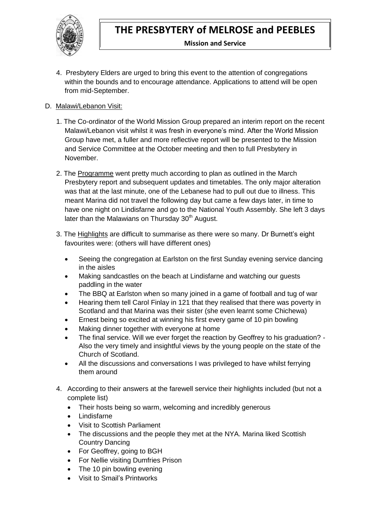

#### **Mission and Service**

4. Presbytery Elders are urged to bring this event to the attention of congregations within the bounds and to encourage attendance. Applications to attend will be open from mid-September.

# D. Malawi/Lebanon Visit:

- 1. The Co-ordinator of the World Mission Group prepared an interim report on the recent Malawi/Lebanon visit whilst it was fresh in everyone's mind. After the World Mission Group have met, a fuller and more reflective report will be presented to the Mission and Service Committee at the October meeting and then to full Presbytery in November.
- 2. The Programme went pretty much according to plan as outlined in the March Presbytery report and subsequent updates and timetables. The only major alteration was that at the last minute, one of the Lebanese had to pull out due to illness. This meant Marina did not travel the following day but came a few days later, in time to have one night on Lindisfarne and go to the National Youth Assembly. She left 3 days later than the Malawians on Thursday  $30<sup>th</sup>$  August.
- 3. The Highlights are difficult to summarise as there were so many. Dr Burnett's eight favourites were: (others will have different ones)
	- Seeing the congregation at Earlston on the first Sunday evening service dancing in the aisles
	- Making sandcastles on the beach at Lindisfarne and watching our guests paddling in the water
	- The BBQ at Earlston when so many joined in a game of football and tug of war
	- Hearing them tell Carol Finlay in 121 that they realised that there was poverty in Scotland and that Marina was their sister (she even learnt some Chichewa)
	- Ernest being so excited at winning his first every game of 10 pin bowling
	- Making dinner together with everyone at home
	- The final service. Will we ever forget the reaction by Geoffrey to his graduation? Also the very timely and insightful views by the young people on the state of the Church of Scotland.
	- All the discussions and conversations I was privileged to have whilst ferrying them around
- 4. According to their answers at the farewell service their highlights included (but not a complete list)
	- Their hosts being so warm, welcoming and incredibly generous
	- Lindisfarne
	- Visit to Scottish Parliament
	- The discussions and the people they met at the NYA. Marina liked Scottish Country Dancing
	- For Geoffrey, going to BGH
	- For Nellie visiting Dumfries Prison
	- The 10 pin bowling evening
	- Visit to Smail's Printworks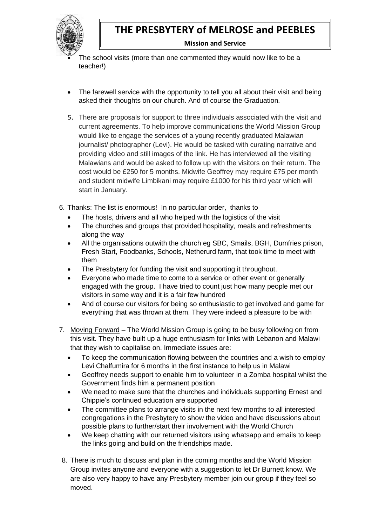

# **THE PRESBYTERY of MELROSE and PEEBLES**

**Mission and Service**

 The school visits (more than one commented they would now like to be a teacher!)

- The farewell service with the opportunity to tell you all about their visit and being asked their thoughts on our church. And of course the Graduation.
- 5. There are proposals for support to three individuals associated with the visit and current agreements. To help improve communications the World Mission Group would like to engage the services of a young recently graduated Malawian journalist/ photographer (Levi). He would be tasked with curating narrative and providing video and still images of the link. He has interviewed all the visiting Malawians and would be asked to follow up with the visitors on their return. The cost would be £250 for 5 months. Midwife Geoffrey may require £75 per month and student midwife Limbikani may require £1000 for his third year which will start in January.
- 6. Thanks: The list is enormous! In no particular order, thanks to
	- The hosts, drivers and all who helped with the logistics of the visit
	- The churches and groups that provided hospitality, meals and refreshments along the way
	- All the organisations outwith the church eg SBC, Smails, BGH, Dumfries prison, Fresh Start, Foodbanks, Schools, Netherurd farm, that took time to meet with them
	- The Presbytery for funding the visit and supporting it throughout.
	- Everyone who made time to come to a service or other event or generally engaged with the group. I have tried to count just how many people met our visitors in some way and it is a fair few hundred
	- And of course our visitors for being so enthusiastic to get involved and game for everything that was thrown at them. They were indeed a pleasure to be with
- 7. Moving Forward The World Mission Group is going to be busy following on from this visit. They have built up a huge enthusiasm for links with Lebanon and Malawi that they wish to capitalise on. Immediate issues are:
	- To keep the communication flowing between the countries and a wish to employ Levi Chalfumira for 6 months in the first instance to help us in Malawi
	- Geoffrey needs support to enable him to volunteer in a Zomba hospital whilst the Government finds him a permanent position
	- We need to make sure that the churches and individuals supporting Ernest and Chippie's continued education are supported
	- The committee plans to arrange visits in the next few months to all interested congregations in the Presbytery to show the video and have discussions about possible plans to further/start their involvement with the World Church
	- We keep chatting with our returned visitors using whatsapp and emails to keep the links going and build on the friendships made.
- 8. There is much to discuss and plan in the coming months and the World Mission Group invites anyone and everyone with a suggestion to let Dr Burnett know. We are also very happy to have any Presbytery member join our group if they feel so moved.